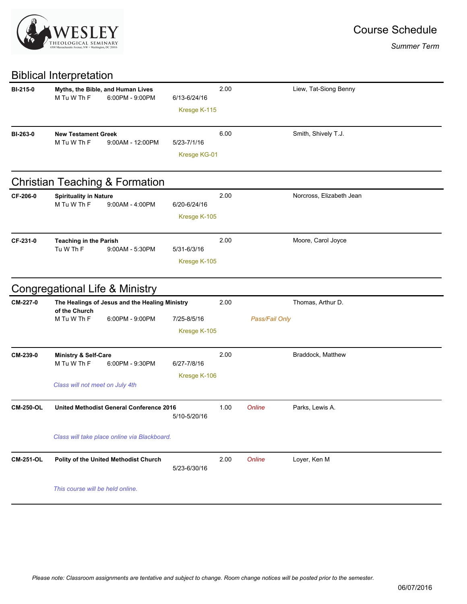

## Biblical Interpretation

| <b>BI-215-0</b>  | Myths, the Bible, and Human Lives<br>M Tu W Th F<br>6:00PM - 9:00PM | 6/13-6/24/16                | 2.00 |                | Liew, Tat-Siong Benny    |
|------------------|---------------------------------------------------------------------|-----------------------------|------|----------------|--------------------------|
|                  |                                                                     | Kresge K-115                |      |                |                          |
| BI-263-0         | <b>New Testament Greek</b><br>M Tu W Th F<br>9:00AM - 12:00PM       | 5/23-7/1/16                 | 6.00 |                | Smith, Shively T.J.      |
|                  |                                                                     | Kresge KG-01                |      |                |                          |
|                  | <b>Christian Teaching &amp; Formation</b>                           |                             |      |                |                          |
| CF-206-0         | <b>Spirituality in Nature</b><br>M Tu W Th F<br>$9:00AM - 4:00PM$   | 6/20-6/24/16                | 2.00 |                | Norcross, Elizabeth Jean |
|                  |                                                                     | Kresge K-105                |      |                |                          |
| CF-231-0         | <b>Teaching in the Parish</b><br>Tu W Th F<br>$9:00AM - 5:30PM$     | $5/31 - 6/3/16$             | 2.00 |                | Moore, Carol Joyce       |
|                  |                                                                     | Kresge K-105                |      |                |                          |
|                  | <b>Congregational Life &amp; Ministry</b>                           |                             |      |                |                          |
| CM-227-0         | The Healings of Jesus and the Healing Ministry<br>of the Church     |                             | 2.00 |                | Thomas, Arthur D.        |
|                  | 6:00PM - 9:00PM<br>M Tu W Th F                                      | 7/25-8/5/16<br>Kresge K-105 |      | Pass/Fail Only |                          |
| CM-239-0         | Ministry & Self-Care<br>M Tu W Th F<br>6:00PM - 9:30PM              | 6/27-7/8/16                 | 2.00 |                | Braddock, Matthew        |
|                  | Class will not meet on July 4th                                     | Kresge K-106                |      |                |                          |
| <b>CM-250-OL</b> | United Methodist General Conference 2016                            | 5/10-5/20/16                | 1.00 | Online         | Parks, Lewis A.          |
|                  | Class will take place online via Blackboard.                        |                             |      |                |                          |
| <b>CM-251-OL</b> | Polity of the United Methodist Church                               | 5/23-6/30/16                | 2.00 | Online         | Loyer, Ken M             |
|                  | This course will be held online.                                    |                             |      |                |                          |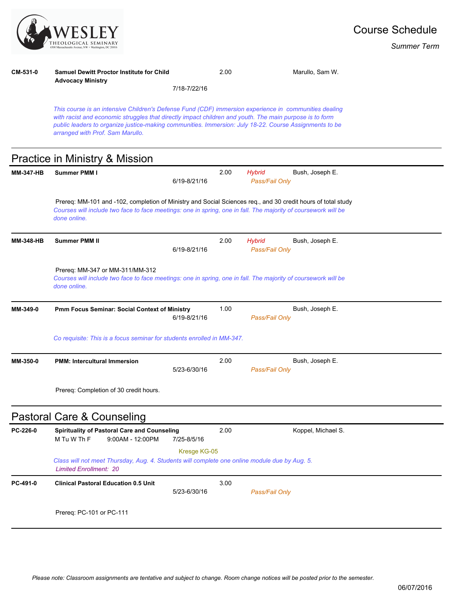

## **CM-531-0 Samuel Dewitt Proctor Institute for Child Advocacy Ministry** 2.00 Marullo, Sam W.

7/18-7/22/16

*This course is an intensive Children's Defense Fund (CDF) immersion experience in communities dealing with racist and economic struggles that directly impact children and youth. The main purpose is to form public leaders to organize justice-making communities. Immersion: July 18-22. Course Assignments to be arranged with Prof. Sam Marullo.*

## Practice in Ministry & Mission

| <b>MM-347-HB</b> | Summer PMM I                                                                                                                                                                                                                                   | 6/19-8/21/16 | 2.00 | <b>Hybrid</b><br>Pass/Fail Only | Bush, Joseph E.    |  |  |  |
|------------------|------------------------------------------------------------------------------------------------------------------------------------------------------------------------------------------------------------------------------------------------|--------------|------|---------------------------------|--------------------|--|--|--|
|                  | Prereq: MM-101 and -102, completion of Ministry and Social Sciences req., and 30 credit hours of total study<br>Courses will include two face to face meetings: one in spring, one in fall. The majority of coursework will be<br>done online. |              |      |                                 |                    |  |  |  |
| <b>MM-348-HB</b> | <b>Summer PMM II</b>                                                                                                                                                                                                                           | 6/19-8/21/16 | 2.00 | <b>Hybrid</b><br>Pass/Fail Only | Bush, Joseph E.    |  |  |  |
|                  | Prereq: MM-347 or MM-311/MM-312<br>Courses will include two face to face meetings: one in spring, one in fall. The majority of coursework will be<br>done online.                                                                              |              |      |                                 |                    |  |  |  |
| MM-349-0         | Pmm Focus Seminar: Social Context of Ministry                                                                                                                                                                                                  | 6/19-8/21/16 | 1.00 | Pass/Fail Only                  | Bush, Joseph E.    |  |  |  |
|                  | Co requisite: This is a focus seminar for students enrolled in MM-347.                                                                                                                                                                         |              |      |                                 |                    |  |  |  |
| MM-350-0         | <b>PMM: Intercultural Immersion</b>                                                                                                                                                                                                            | 5/23-6/30/16 | 2.00 | Pass/Fail Only                  | Bush, Joseph E.    |  |  |  |
|                  | Prereq: Completion of 30 credit hours.                                                                                                                                                                                                         |              |      |                                 |                    |  |  |  |
|                  | Pastoral Care & Counseling                                                                                                                                                                                                                     |              |      |                                 |                    |  |  |  |
| PC-226-0         | Spirituality of Pastoral Care and Counseling<br>M Tu W Th F<br>$9:00AM - 12:00PM$                                                                                                                                                              | 7/25-8/5/16  | 2.00 |                                 | Koppel, Michael S. |  |  |  |
|                  | Kresge KG-05<br>Class will not meet Thursday, Aug. 4. Students will complete one online module due by Aug. 5.<br><b>Limited Enrollment: 20</b>                                                                                                 |              |      |                                 |                    |  |  |  |
| PC-491-0         | <b>Clinical Pastoral Education 0.5 Unit</b>                                                                                                                                                                                                    | 5/23-6/30/16 | 3.00 | Pass/Fail Only                  |                    |  |  |  |
|                  | Prereq: PC-101 or PC-111                                                                                                                                                                                                                       |              |      |                                 |                    |  |  |  |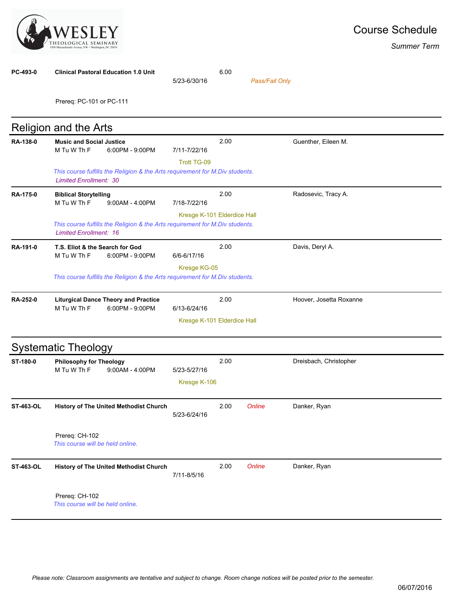

| PC-493-0         | <b>Clinical Pastoral Education 1.0 Unit</b>                                                                   | 5/23-6/30/16                 | 6.00 | Pass/Fail Only |                         |  |
|------------------|---------------------------------------------------------------------------------------------------------------|------------------------------|------|----------------|-------------------------|--|
|                  | Prereq: PC-101 or PC-111                                                                                      |                              |      |                |                         |  |
|                  | <b>Religion and the Arts</b>                                                                                  |                              |      |                |                         |  |
| RA-138-0         | <b>Music and Social Justice</b><br>M Tu W Th F<br>6:00PM - 9:00PM                                             | 7/11-7/22/16                 | 2.00 |                | Guenther, Eileen M.     |  |
|                  | This course fulfills the Religion & the Arts requirement for M.Div students.<br><b>Limited Enrollment: 30</b> | <b>Trott TG-09</b>           |      |                |                         |  |
| RA-175-0         | <b>Biblical Storytelling</b><br>M Tu W Th F<br>$9:00AM - 4:00PM$                                              | 7/18-7/22/16                 | 2.00 |                | Radosevic, Tracy A.     |  |
|                  | This course fulfills the Religion & the Arts requirement for M.Div students.<br><b>Limited Enrollment: 16</b> | Kresge K-101 Elderdice Hall  |      |                |                         |  |
| RA-191-0         | T.S. Eliot & the Search for God<br>M Tu W Th F<br>6:00PM - 9:00PM                                             | 6/6-6/17/16                  | 2.00 |                | Davis, Deryl A.         |  |
|                  | Kresge KG-05<br>This course fulfills the Religion & the Arts requirement for M.Div students.                  |                              |      |                |                         |  |
| RA-252-0         | <b>Liturgical Dance Theory and Practice</b><br>M Tu W Th F<br>6:00PM - 9:00PM                                 | 6/13-6/24/16                 | 2.00 |                | Hoover, Josetta Roxanne |  |
|                  |                                                                                                               | Kresge K-101 Elderdice Hall  |      |                |                         |  |
|                  | <b>Systematic Theology</b>                                                                                    |                              |      |                |                         |  |
| ST-180-0         | <b>Philosophy for Theology</b><br>M Tu W Th F<br>9:00AM - 4:00PM                                              | 5/23-5/27/16<br>Kresge K-106 | 2.00 |                | Dreisbach, Christopher  |  |
| ST-463-OL        | <b>History of The United Methodist Church</b>                                                                 | 5/23-6/24/16                 | 2.00 | Online         | Danker, Ryan            |  |
|                  | Prereq: CH-102<br>This course will be held online.                                                            |                              |      |                |                         |  |
| <b>ST-463-OL</b> | <b>History of The United Methodist Church</b>                                                                 | 7/11-8/5/16                  | 2.00 | Online         | Danker, Ryan            |  |
|                  | Prereq: CH-102<br>This course will be held online.                                                            |                              |      |                |                         |  |